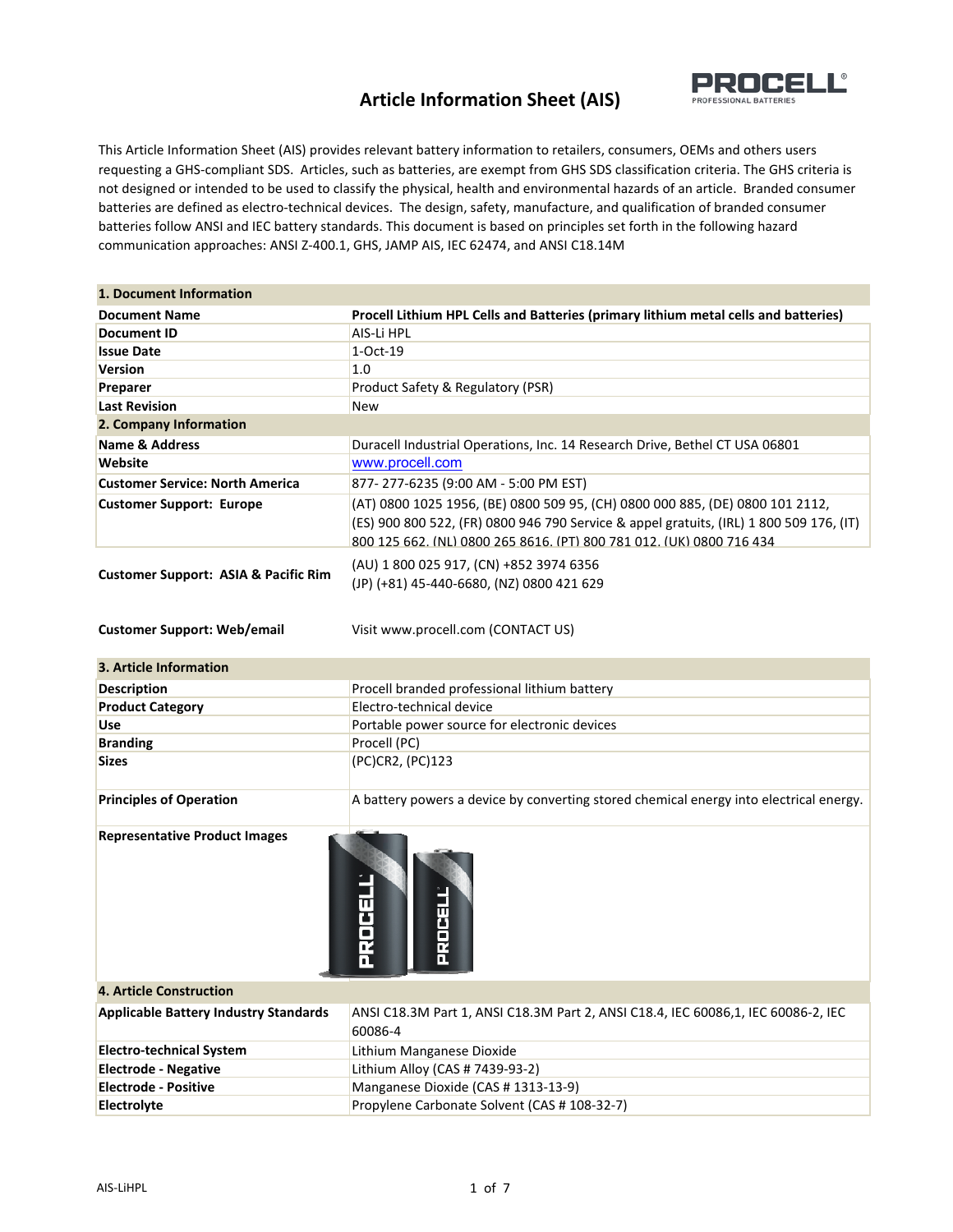

This Article Information Sheet (AIS) provides relevant battery information to retailers, consumers, OEMs and others users requesting a GHS‐compliant SDS. Articles, such as batteries, are exempt from GHS SDS classification criteria. The GHS criteria is not designed or intended to be used to classify the physical, health and environmental hazards of an article. Branded consumer batteries are defined as electro‐technical devices. The design, safety, manufacture, and qualification of branded consumer batteries follow ANSI and IEC battery standards. This document is based on principles set forth in the following hazard communication approaches: ANSI Z‐400.1, GHS, JAMP AIS, IEC 62474, and ANSI C18.14M

| 1. Document Information                                                               |                                                                                                                                                                                                                                                  |
|---------------------------------------------------------------------------------------|--------------------------------------------------------------------------------------------------------------------------------------------------------------------------------------------------------------------------------------------------|
| <b>Document Name</b>                                                                  | Procell Lithium HPL Cells and Batteries (primary lithium metal cells and batteries)                                                                                                                                                              |
| <b>Document ID</b>                                                                    | AIS-Li HPL                                                                                                                                                                                                                                       |
| <b>Issue Date</b>                                                                     | 1-Oct-19                                                                                                                                                                                                                                         |
| <b>Version</b>                                                                        | 1.0                                                                                                                                                                                                                                              |
| Preparer                                                                              | Product Safety & Regulatory (PSR)                                                                                                                                                                                                                |
| <b>Last Revision</b>                                                                  | <b>New</b>                                                                                                                                                                                                                                       |
| 2. Company Information                                                                |                                                                                                                                                                                                                                                  |
| <b>Name &amp; Address</b>                                                             | Duracell Industrial Operations, Inc. 14 Research Drive, Bethel CT USA 06801                                                                                                                                                                      |
| Website                                                                               | www.procell.com                                                                                                                                                                                                                                  |
| <b>Customer Service: North America</b>                                                | 877-277-6235 (9:00 AM - 5:00 PM EST)                                                                                                                                                                                                             |
| <b>Customer Support: Europe</b>                                                       | (AT) 0800 1025 1956, (BE) 0800 509 95, (CH) 0800 000 885, (DE) 0800 101 2112,<br>(ES) 900 800 522, (FR) 0800 946 790 Service & appel gratuits, (IRL) 1 800 509 176, (IT)<br>800 125 662, (NL) 0800 265 8616, (PT) 800 781 012, (UK) 0800 716 434 |
| <b>Customer Support: ASIA &amp; Pacific Rim</b><br><b>Customer Support: Web/email</b> | (AU) 1 800 025 917, (CN) +852 3974 6356<br>(JP) (+81) 45-440-6680, (NZ) 0800 421 629<br>Visit www.procell.com (CONTACT US)                                                                                                                       |
| 3. Article Information                                                                |                                                                                                                                                                                                                                                  |
| <b>Description</b>                                                                    | Procell branded professional lithium battery                                                                                                                                                                                                     |
| <b>Product Category</b>                                                               | Electro-technical device                                                                                                                                                                                                                         |
| Use                                                                                   | Portable power source for electronic devices                                                                                                                                                                                                     |
| <b>Branding</b>                                                                       | Procell (PC)                                                                                                                                                                                                                                     |
| <b>Sizes</b>                                                                          | (PC)CR2, (PC)123                                                                                                                                                                                                                                 |
| <b>Principles of Operation</b>                                                        | A battery powers a device by converting stored chemical energy into electrical energy.                                                                                                                                                           |
| <b>Representative Product Images</b>                                                  |                                                                                                                                                                                                                                                  |



| the contract of the contract of the contract of |                                                                                              |  |
|-------------------------------------------------|----------------------------------------------------------------------------------------------|--|
| <b>4. Article Construction</b>                  |                                                                                              |  |
| <b>Applicable Battery Industry Standards</b>    | ANSI C18.3M Part 1, ANSI C18.3M Part 2, ANSI C18.4, IEC 60086.1, IEC 60086-2, IEC<br>60086-4 |  |
| <b>Electro-technical System</b>                 | Lithium Manganese Dioxide                                                                    |  |
| <b>Electrode - Negative</b>                     | Lithium Alloy (CAS # 7439-93-2)                                                              |  |
| <b>Electrode - Positive</b>                     | Manganese Dioxide (CAS # 1313-13-9)                                                          |  |
| <b>Electrolyte</b>                              | Propylene Carbonate Solvent (CAS # 108-32-7)                                                 |  |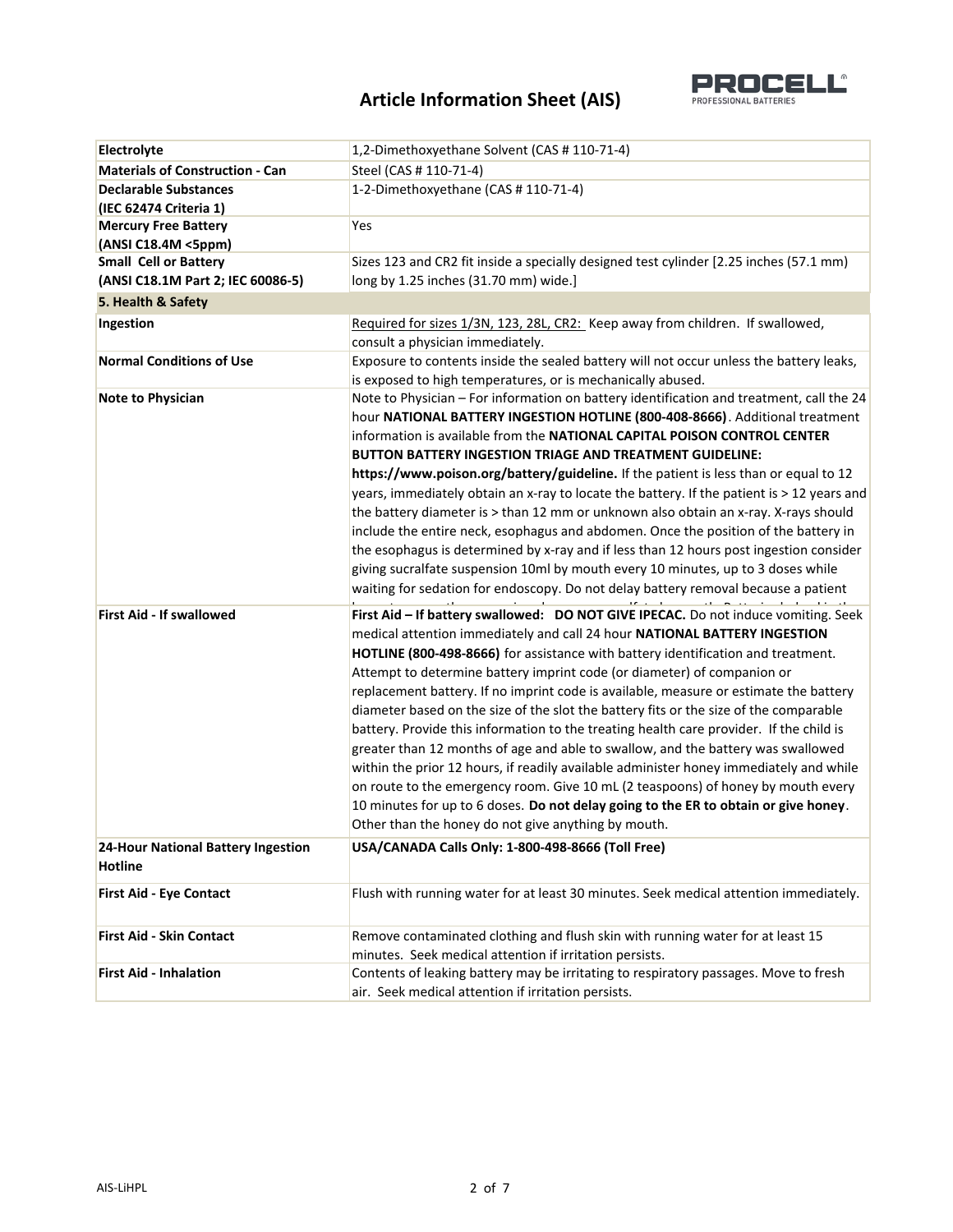

| Electrolyte                                          | 1,2-Dimethoxyethane Solvent (CAS # 110-71-4)                                               |
|------------------------------------------------------|--------------------------------------------------------------------------------------------|
| <b>Materials of Construction - Can</b>               | Steel (CAS # 110-71-4)                                                                     |
| <b>Declarable Substances</b>                         | 1-2-Dimethoxyethane (CAS #110-71-4)                                                        |
| (IEC 62474 Criteria 1)                               |                                                                                            |
| <b>Mercury Free Battery</b>                          | Yes                                                                                        |
| (ANSI C18.4M <5ppm)                                  |                                                                                            |
| <b>Small Cell or Battery</b>                         | Sizes 123 and CR2 fit inside a specially designed test cylinder [2.25 inches (57.1 mm)     |
| (ANSI C18.1M Part 2; IEC 60086-5)                    | long by 1.25 inches (31.70 mm) wide.]                                                      |
| 5. Health & Safety                                   |                                                                                            |
| Ingestion                                            | Required for sizes 1/3N, 123, 28L, CR2: Keep away from children. If swallowed,             |
|                                                      | consult a physician immediately.                                                           |
| <b>Normal Conditions of Use</b>                      | Exposure to contents inside the sealed battery will not occur unless the battery leaks,    |
|                                                      | is exposed to high temperatures, or is mechanically abused.                                |
| Note to Physician                                    | Note to Physician - For information on battery identification and treatment, call the 24   |
|                                                      | hour NATIONAL BATTERY INGESTION HOTLINE (800-408-8666). Additional treatment               |
|                                                      | information is available from the NATIONAL CAPITAL POISON CONTROL CENTER                   |
|                                                      | BUTTON BATTERY INGESTION TRIAGE AND TREATMENT GUIDELINE:                                   |
|                                                      | https://www.poison.org/battery/guideline. If the patient is less than or equal to 12       |
|                                                      | years, immediately obtain an x-ray to locate the battery. If the patient is > 12 years and |
|                                                      | the battery diameter is > than 12 mm or unknown also obtain an x-ray. X-rays should        |
|                                                      | include the entire neck, esophagus and abdomen. Once the position of the battery in        |
|                                                      | the esophagus is determined by x-ray and if less than 12 hours post ingestion consider     |
|                                                      | giving sucralfate suspension 10ml by mouth every 10 minutes, up to 3 doses while           |
|                                                      | waiting for sedation for endoscopy. Do not delay battery removal because a patient         |
| <b>First Aid - If swallowed</b>                      | First Aid - If battery swallowed: DO NOT GIVE IPECAC. Do not induce vomiting. Seek         |
|                                                      | medical attention immediately and call 24 hour NATIONAL BATTERY INGESTION                  |
|                                                      | HOTLINE (800-498-8666) for assistance with battery identification and treatment.           |
|                                                      | Attempt to determine battery imprint code (or diameter) of companion or                    |
|                                                      | replacement battery. If no imprint code is available, measure or estimate the battery      |
|                                                      | diameter based on the size of the slot the battery fits or the size of the comparable      |
|                                                      | battery. Provide this information to the treating health care provider. If the child is    |
|                                                      | greater than 12 months of age and able to swallow, and the battery was swallowed           |
|                                                      | within the prior 12 hours, if readily available administer honey immediately and while     |
|                                                      | on route to the emergency room. Give 10 mL (2 teaspoons) of honey by mouth every           |
|                                                      | 10 minutes for up to 6 doses. Do not delay going to the ER to obtain or give honey.        |
|                                                      |                                                                                            |
|                                                      | Other than the honey do not give anything by mouth.                                        |
| 24-Hour National Battery Ingestion<br><b>Hotline</b> | USA/CANADA Calls Only: 1-800-498-8666 (Toll Free)                                          |
| <b>First Aid - Eye Contact</b>                       | Flush with running water for at least 30 minutes. Seek medical attention immediately.      |
|                                                      |                                                                                            |
| <b>First Aid - Skin Contact</b>                      | Remove contaminated clothing and flush skin with running water for at least 15             |
|                                                      | minutes. Seek medical attention if irritation persists.                                    |
| <b>First Aid - Inhalation</b>                        | Contents of leaking battery may be irritating to respiratory passages. Move to fresh       |
|                                                      | air. Seek medical attention if irritation persists.                                        |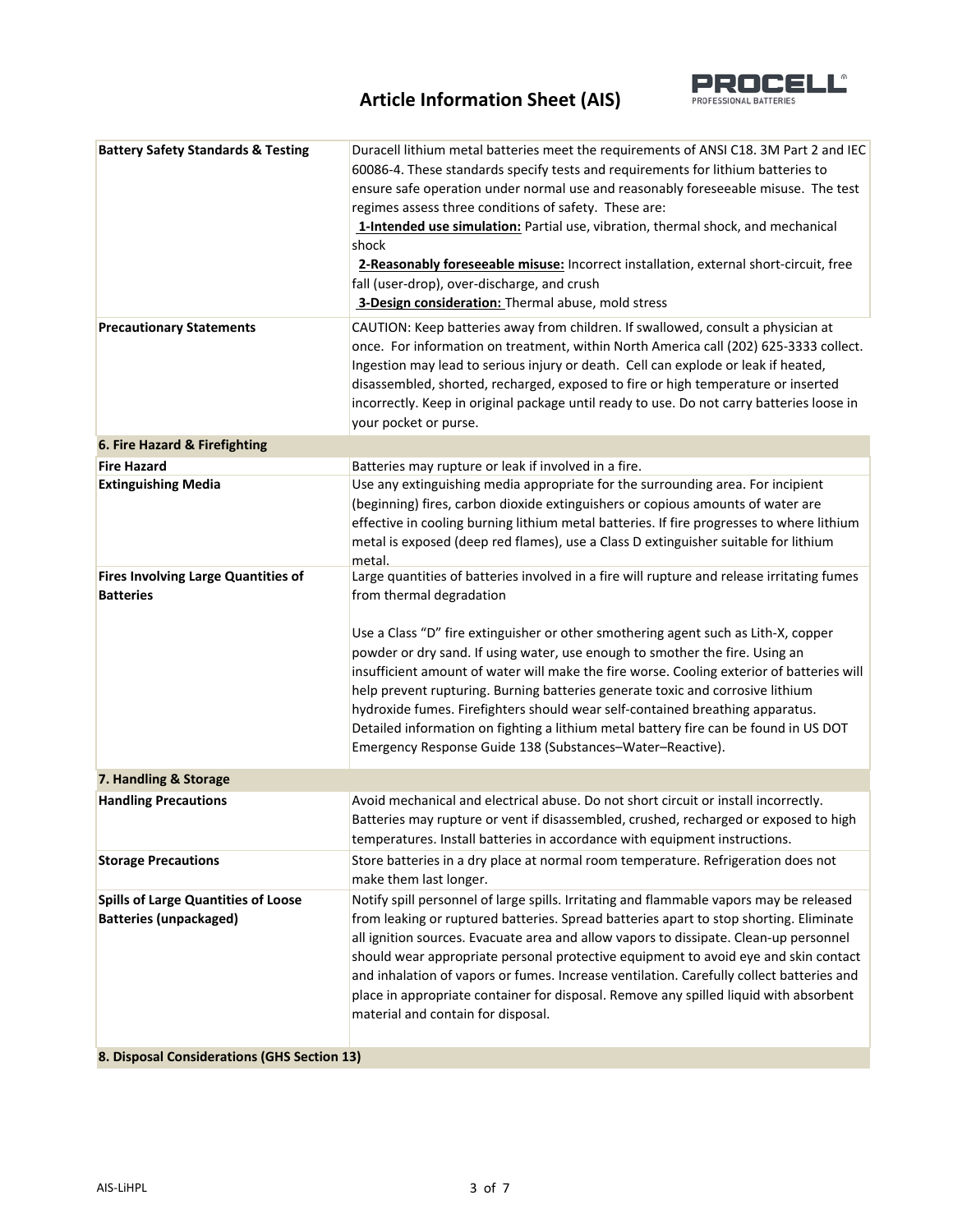

| <b>Battery Safety Standards &amp; Testing</b>                  | Duracell lithium metal batteries meet the requirements of ANSI C18. 3M Part 2 and IEC                                                                                  |
|----------------------------------------------------------------|------------------------------------------------------------------------------------------------------------------------------------------------------------------------|
|                                                                | 60086-4. These standards specify tests and requirements for lithium batteries to<br>ensure safe operation under normal use and reasonably foreseeable misuse. The test |
|                                                                | regimes assess three conditions of safety. These are:                                                                                                                  |
|                                                                | 1-Intended use simulation: Partial use, vibration, thermal shock, and mechanical                                                                                       |
|                                                                | shock                                                                                                                                                                  |
|                                                                |                                                                                                                                                                        |
|                                                                | 2-Reasonably foreseeable misuse: Incorrect installation, external short-circuit, free<br>fall (user-drop), over-discharge, and crush                                   |
|                                                                | 3-Design consideration: Thermal abuse, mold stress                                                                                                                     |
|                                                                |                                                                                                                                                                        |
| <b>Precautionary Statements</b>                                | CAUTION: Keep batteries away from children. If swallowed, consult a physician at                                                                                       |
|                                                                | once. For information on treatment, within North America call (202) 625-3333 collect.                                                                                  |
|                                                                | Ingestion may lead to serious injury or death. Cell can explode or leak if heated,                                                                                     |
|                                                                | disassembled, shorted, recharged, exposed to fire or high temperature or inserted                                                                                      |
|                                                                | incorrectly. Keep in original package until ready to use. Do not carry batteries loose in                                                                              |
|                                                                | your pocket or purse.                                                                                                                                                  |
| 6. Fire Hazard & Firefighting                                  |                                                                                                                                                                        |
| <b>Fire Hazard</b>                                             | Batteries may rupture or leak if involved in a fire.                                                                                                                   |
| <b>Extinguishing Media</b>                                     | Use any extinguishing media appropriate for the surrounding area. For incipient                                                                                        |
|                                                                | (beginning) fires, carbon dioxide extinguishers or copious amounts of water are                                                                                        |
|                                                                | effective in cooling burning lithium metal batteries. If fire progresses to where lithium                                                                              |
|                                                                | metal is exposed (deep red flames), use a Class D extinguisher suitable for lithium                                                                                    |
|                                                                | metal.                                                                                                                                                                 |
| <b>Fires Involving Large Quantities of</b><br><b>Batteries</b> | Large quantities of batteries involved in a fire will rupture and release irritating fumes<br>from thermal degradation                                                 |
|                                                                |                                                                                                                                                                        |
|                                                                | Use a Class "D" fire extinguisher or other smothering agent such as Lith-X, copper                                                                                     |
|                                                                | powder or dry sand. If using water, use enough to smother the fire. Using an                                                                                           |
|                                                                | insufficient amount of water will make the fire worse. Cooling exterior of batteries will                                                                              |
|                                                                | help prevent rupturing. Burning batteries generate toxic and corrosive lithium                                                                                         |
|                                                                | hydroxide fumes. Firefighters should wear self-contained breathing apparatus.                                                                                          |
|                                                                | Detailed information on fighting a lithium metal battery fire can be found in US DOT                                                                                   |
|                                                                | Emergency Response Guide 138 (Substances-Water-Reactive).                                                                                                              |
|                                                                |                                                                                                                                                                        |
| 7. Handling & Storage                                          |                                                                                                                                                                        |
| <b>Handling Precautions</b>                                    | Avoid mechanical and electrical abuse. Do not short circuit or install incorrectly.                                                                                    |
|                                                                | Batteries may rupture or vent if disassembled, crushed, recharged or exposed to high                                                                                   |
|                                                                | temperatures. Install batteries in accordance with equipment instructions.                                                                                             |
| <b>Storage Precautions</b>                                     | Store batteries in a dry place at normal room temperature. Refrigeration does not                                                                                      |
|                                                                | make them last longer.                                                                                                                                                 |
| <b>Spills of Large Quantities of Loose</b>                     | Notify spill personnel of large spills. Irritating and flammable vapors may be released                                                                                |
| <b>Batteries (unpackaged)</b>                                  | from leaking or ruptured batteries. Spread batteries apart to stop shorting. Eliminate                                                                                 |
|                                                                | all ignition sources. Evacuate area and allow vapors to dissipate. Clean-up personnel                                                                                  |
|                                                                | should wear appropriate personal protective equipment to avoid eye and skin contact                                                                                    |
|                                                                | and inhalation of vapors or fumes. Increase ventilation. Carefully collect batteries and                                                                               |
|                                                                | place in appropriate container for disposal. Remove any spilled liquid with absorbent                                                                                  |
|                                                                | material and contain for disposal.                                                                                                                                     |
|                                                                |                                                                                                                                                                        |
| 8. Disposal Considerations (GHS Section 13)                    |                                                                                                                                                                        |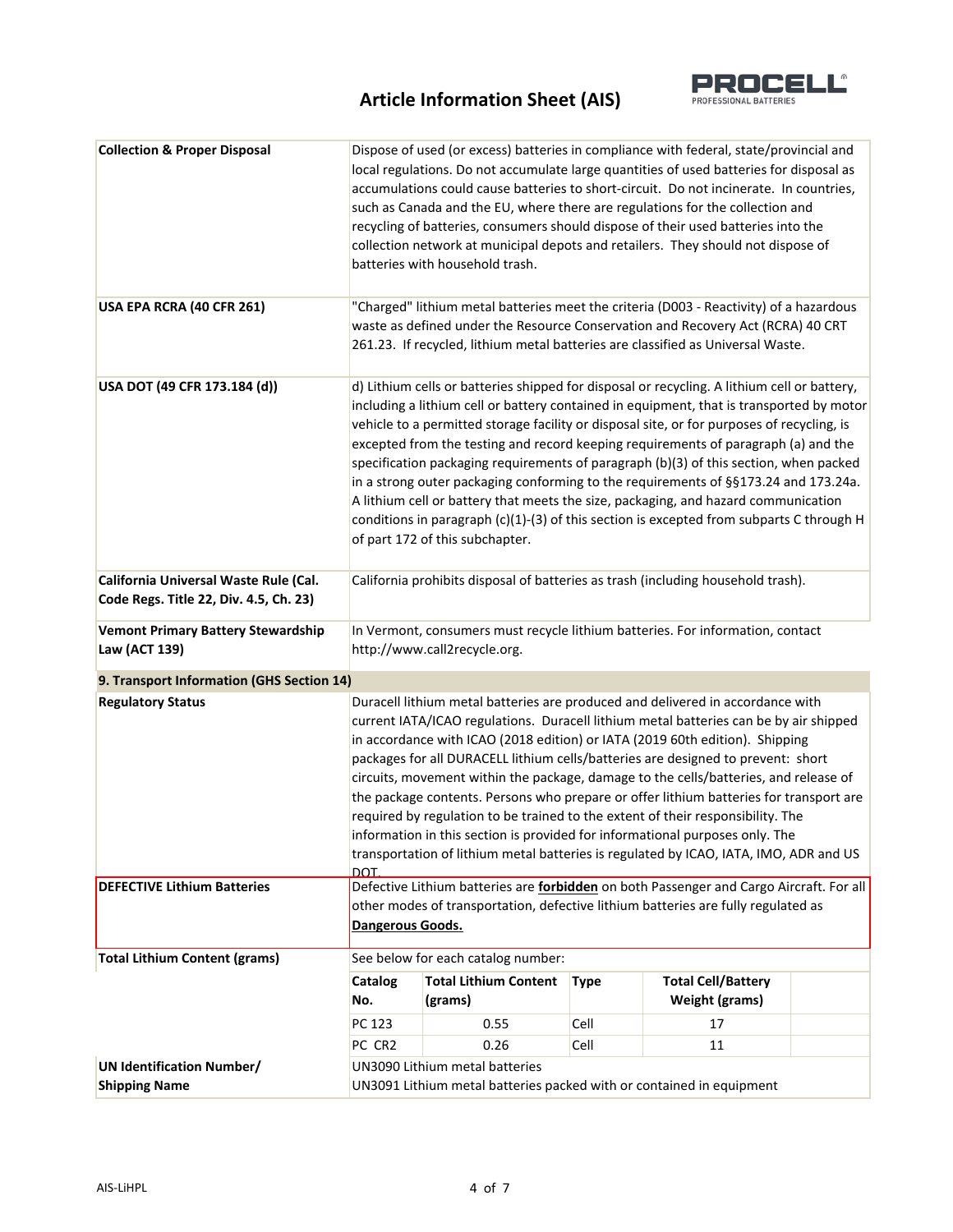

| <b>Collection &amp; Proper Disposal</b>                                         |                                                                                                                                                                                                                                                                                                                                                                                                                                                                                                                                                                                                                                                                                                                                                                                           | batteries with household trash.    |             | Dispose of used (or excess) batteries in compliance with federal, state/provincial and<br>local regulations. Do not accumulate large quantities of used batteries for disposal as<br>accumulations could cause batteries to short-circuit. Do not incinerate. In countries,<br>such as Canada and the EU, where there are regulations for the collection and<br>recycling of batteries, consumers should dispose of their used batteries into the<br>collection network at municipal depots and retailers. They should not dispose of |  |
|---------------------------------------------------------------------------------|-------------------------------------------------------------------------------------------------------------------------------------------------------------------------------------------------------------------------------------------------------------------------------------------------------------------------------------------------------------------------------------------------------------------------------------------------------------------------------------------------------------------------------------------------------------------------------------------------------------------------------------------------------------------------------------------------------------------------------------------------------------------------------------------|------------------------------------|-------------|---------------------------------------------------------------------------------------------------------------------------------------------------------------------------------------------------------------------------------------------------------------------------------------------------------------------------------------------------------------------------------------------------------------------------------------------------------------------------------------------------------------------------------------|--|
| USA EPA RCRA (40 CFR 261)                                                       | "Charged" lithium metal batteries meet the criteria (D003 - Reactivity) of a hazardous<br>waste as defined under the Resource Conservation and Recovery Act (RCRA) 40 CRT<br>261.23. If recycled, lithium metal batteries are classified as Universal Waste.                                                                                                                                                                                                                                                                                                                                                                                                                                                                                                                              |                                    |             |                                                                                                                                                                                                                                                                                                                                                                                                                                                                                                                                       |  |
| USA DOT (49 CFR 173.184 (d))                                                    | d) Lithium cells or batteries shipped for disposal or recycling. A lithium cell or battery,<br>including a lithium cell or battery contained in equipment, that is transported by motor<br>vehicle to a permitted storage facility or disposal site, or for purposes of recycling, is<br>excepted from the testing and record keeping requirements of paragraph (a) and the<br>specification packaging requirements of paragraph (b)(3) of this section, when packed<br>in a strong outer packaging conforming to the requirements of §§173.24 and 173.24a.<br>A lithium cell or battery that meets the size, packaging, and hazard communication<br>conditions in paragraph (c)(1)-(3) of this section is excepted from subparts C through H<br>of part 172 of this subchapter.          |                                    |             |                                                                                                                                                                                                                                                                                                                                                                                                                                                                                                                                       |  |
| California Universal Waste Rule (Cal.<br>Code Regs. Title 22, Div. 4.5, Ch. 23) | California prohibits disposal of batteries as trash (including household trash).                                                                                                                                                                                                                                                                                                                                                                                                                                                                                                                                                                                                                                                                                                          |                                    |             |                                                                                                                                                                                                                                                                                                                                                                                                                                                                                                                                       |  |
| <b>Vemont Primary Battery Stewardship</b><br>Law (ACT 139)                      | In Vermont, consumers must recycle lithium batteries. For information, contact<br>http://www.call2recycle.org.                                                                                                                                                                                                                                                                                                                                                                                                                                                                                                                                                                                                                                                                            |                                    |             |                                                                                                                                                                                                                                                                                                                                                                                                                                                                                                                                       |  |
| 9. Transport Information (GHS Section 14)                                       |                                                                                                                                                                                                                                                                                                                                                                                                                                                                                                                                                                                                                                                                                                                                                                                           |                                    |             |                                                                                                                                                                                                                                                                                                                                                                                                                                                                                                                                       |  |
| <b>Regulatory Status</b>                                                        | Duracell lithium metal batteries are produced and delivered in accordance with<br>current IATA/ICAO regulations. Duracell lithium metal batteries can be by air shipped<br>in accordance with ICAO (2018 edition) or IATA (2019 60th edition). Shipping<br>packages for all DURACELL lithium cells/batteries are designed to prevent: short<br>circuits, movement within the package, damage to the cells/batteries, and release of<br>the package contents. Persons who prepare or offer lithium batteries for transport are<br>required by regulation to be trained to the extent of their responsibility. The<br>information in this section is provided for informational purposes only. The<br>transportation of lithium metal batteries is regulated by ICAO, IATA, IMO, ADR and US |                                    |             |                                                                                                                                                                                                                                                                                                                                                                                                                                                                                                                                       |  |
| <b>DEFECTIVE Lithium Batteries</b>                                              | DOT<br>Defective Lithium batteries are forbidden on both Passenger and Cargo Aircraft. For all<br>other modes of transportation, defective lithium batteries are fully regulated as<br>Dangerous Goods.                                                                                                                                                                                                                                                                                                                                                                                                                                                                                                                                                                                   |                                    |             |                                                                                                                                                                                                                                                                                                                                                                                                                                                                                                                                       |  |
| <b>Total Lithium Content (grams)</b>                                            |                                                                                                                                                                                                                                                                                                                                                                                                                                                                                                                                                                                                                                                                                                                                                                                           | See below for each catalog number: |             |                                                                                                                                                                                                                                                                                                                                                                                                                                                                                                                                       |  |
|                                                                                 | <b>Catalog</b>                                                                                                                                                                                                                                                                                                                                                                                                                                                                                                                                                                                                                                                                                                                                                                            | <b>Total Lithium Content</b>       | <b>Type</b> | <b>Total Cell/Battery</b>                                                                                                                                                                                                                                                                                                                                                                                                                                                                                                             |  |
|                                                                                 | No.                                                                                                                                                                                                                                                                                                                                                                                                                                                                                                                                                                                                                                                                                                                                                                                       | (grams)                            |             | <b>Weight (grams)</b>                                                                                                                                                                                                                                                                                                                                                                                                                                                                                                                 |  |
|                                                                                 | PC 123                                                                                                                                                                                                                                                                                                                                                                                                                                                                                                                                                                                                                                                                                                                                                                                    | 0.55                               | Cell        | 17                                                                                                                                                                                                                                                                                                                                                                                                                                                                                                                                    |  |
|                                                                                 | PC CR2                                                                                                                                                                                                                                                                                                                                                                                                                                                                                                                                                                                                                                                                                                                                                                                    | 0.26                               | Cell        | 11                                                                                                                                                                                                                                                                                                                                                                                                                                                                                                                                    |  |
| <b>UN Identification Number/</b><br><b>Shipping Name</b>                        | UN3090 Lithium metal batteries<br>UN3091 Lithium metal batteries packed with or contained in equipment                                                                                                                                                                                                                                                                                                                                                                                                                                                                                                                                                                                                                                                                                    |                                    |             |                                                                                                                                                                                                                                                                                                                                                                                                                                                                                                                                       |  |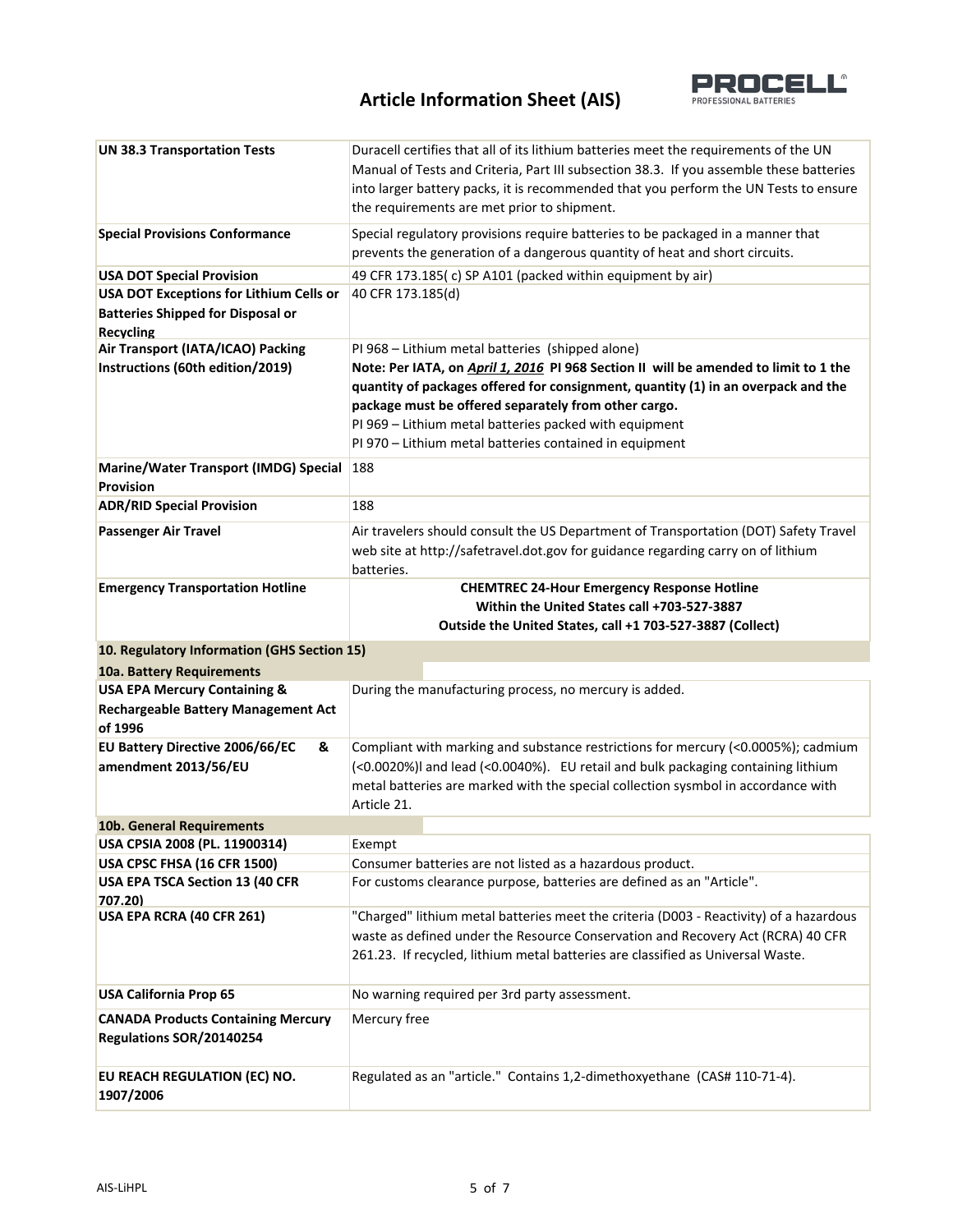

| <b>UN 38.3 Transportation Tests</b>          | Duracell certifies that all of its lithium batteries meet the requirements of the UN<br>Manual of Tests and Criteria, Part III subsection 38.3. If you assemble these batteries<br>into larger battery packs, it is recommended that you perform the UN Tests to ensure<br>the requirements are met prior to shipment. |  |
|----------------------------------------------|------------------------------------------------------------------------------------------------------------------------------------------------------------------------------------------------------------------------------------------------------------------------------------------------------------------------|--|
| <b>Special Provisions Conformance</b>        | Special regulatory provisions require batteries to be packaged in a manner that<br>prevents the generation of a dangerous quantity of heat and short circuits.                                                                                                                                                         |  |
| <b>USA DOT Special Provision</b>             | 49 CFR 173.185(c) SP A101 (packed within equipment by air)                                                                                                                                                                                                                                                             |  |
| USA DOT Exceptions for Lithium Cells or      | 40 CFR 173.185(d)                                                                                                                                                                                                                                                                                                      |  |
| <b>Batteries Shipped for Disposal or</b>     |                                                                                                                                                                                                                                                                                                                        |  |
| <b>Recycling</b>                             |                                                                                                                                                                                                                                                                                                                        |  |
| Air Transport (IATA/ICAO) Packing            | PI 968 - Lithium metal batteries (shipped alone)                                                                                                                                                                                                                                                                       |  |
| Instructions (60th edition/2019)             | Note: Per IATA, on April 1, 2016 PI 968 Section II will be amended to limit to 1 the                                                                                                                                                                                                                                   |  |
|                                              | quantity of packages offered for consignment, quantity (1) in an overpack and the                                                                                                                                                                                                                                      |  |
|                                              | package must be offered separately from other cargo.                                                                                                                                                                                                                                                                   |  |
|                                              | PI 969 - Lithium metal batteries packed with equipment                                                                                                                                                                                                                                                                 |  |
|                                              | PI 970 - Lithium metal batteries contained in equipment                                                                                                                                                                                                                                                                |  |
| <b>Marine/Water Transport (IMDG) Special</b> | <b>188</b>                                                                                                                                                                                                                                                                                                             |  |
| <b>Provision</b>                             |                                                                                                                                                                                                                                                                                                                        |  |
| <b>ADR/RID Special Provision</b>             | 188                                                                                                                                                                                                                                                                                                                    |  |
| <b>Passenger Air Travel</b>                  | Air travelers should consult the US Department of Transportation (DOT) Safety Travel                                                                                                                                                                                                                                   |  |
|                                              | web site at http://safetravel.dot.gov for guidance regarding carry on of lithium                                                                                                                                                                                                                                       |  |
|                                              | batteries.                                                                                                                                                                                                                                                                                                             |  |
| <b>Emergency Transportation Hotline</b>      | <b>CHEMTREC 24-Hour Emergency Response Hotline</b>                                                                                                                                                                                                                                                                     |  |
|                                              | Within the United States call +703-527-3887                                                                                                                                                                                                                                                                            |  |
|                                              | Outside the United States, call +1 703-527-3887 (Collect)                                                                                                                                                                                                                                                              |  |
|                                              |                                                                                                                                                                                                                                                                                                                        |  |
| 10. Regulatory Information (GHS Section 15)  |                                                                                                                                                                                                                                                                                                                        |  |
| 10a. Battery Requirements                    |                                                                                                                                                                                                                                                                                                                        |  |
| <b>USA EPA Mercury Containing &amp;</b>      | During the manufacturing process, no mercury is added.                                                                                                                                                                                                                                                                 |  |
| <b>Rechargeable Battery Management Act</b>   |                                                                                                                                                                                                                                                                                                                        |  |
| of 1996                                      |                                                                                                                                                                                                                                                                                                                        |  |
| <b>EU Battery Directive 2006/66/EC</b><br>&  | Compliant with marking and substance restrictions for mercury (<0.0005%); cadmium                                                                                                                                                                                                                                      |  |
| amendment 2013/56/EU                         | (<0.0020%)I and lead (<0.0040%). EU retail and bulk packaging containing lithium                                                                                                                                                                                                                                       |  |
|                                              | metal batteries are marked with the special collection sysmbol in accordance with                                                                                                                                                                                                                                      |  |
|                                              | Article 21.                                                                                                                                                                                                                                                                                                            |  |
| 10b. General Requirements                    |                                                                                                                                                                                                                                                                                                                        |  |
| USA CPSIA 2008 (PL. 11900314)                | Exempt                                                                                                                                                                                                                                                                                                                 |  |
| USA CPSC FHSA (16 CFR 1500)                  | Consumer batteries are not listed as a hazardous product.                                                                                                                                                                                                                                                              |  |
| USA EPA TSCA Section 13 (40 CFR<br>707.20)   | For customs clearance purpose, batteries are defined as an "Article".                                                                                                                                                                                                                                                  |  |
| USA EPA RCRA (40 CFR 261)                    | "Charged" lithium metal batteries meet the criteria (D003 - Reactivity) of a hazardous                                                                                                                                                                                                                                 |  |
|                                              | waste as defined under the Resource Conservation and Recovery Act (RCRA) 40 CFR                                                                                                                                                                                                                                        |  |
|                                              | 261.23. If recycled, lithium metal batteries are classified as Universal Waste.                                                                                                                                                                                                                                        |  |
|                                              |                                                                                                                                                                                                                                                                                                                        |  |
| <b>USA California Prop 65</b>                | No warning required per 3rd party assessment.                                                                                                                                                                                                                                                                          |  |
| <b>CANADA Products Containing Mercury</b>    | Mercury free                                                                                                                                                                                                                                                                                                           |  |
| Regulations SOR/20140254                     |                                                                                                                                                                                                                                                                                                                        |  |
| EU REACH REGULATION (EC) NO.                 | Regulated as an "article." Contains 1,2-dimethoxyethane (CAS# 110-71-4).                                                                                                                                                                                                                                               |  |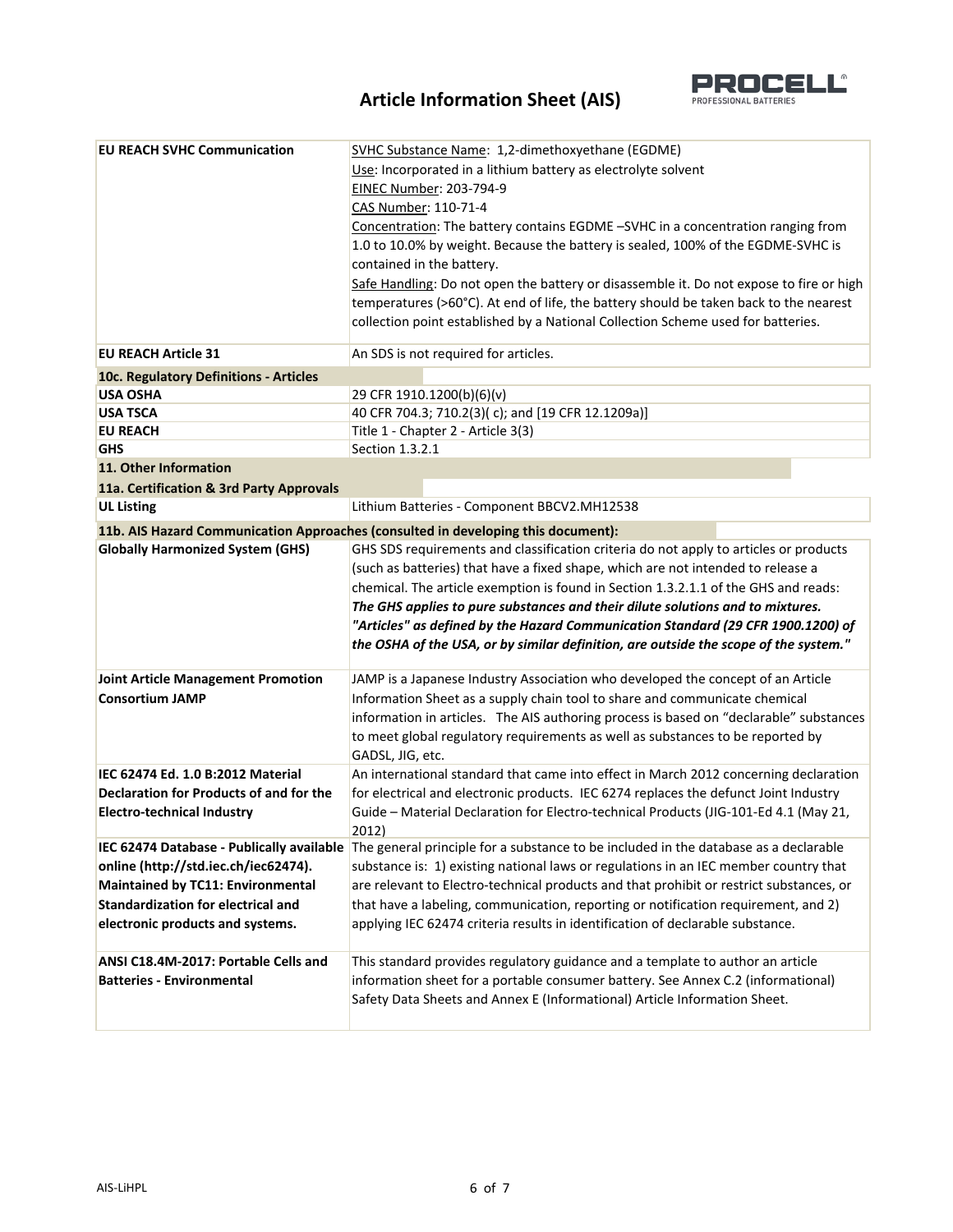

| <b>EU REACH SVHC Communication</b>                                                                                                                         | SVHC Substance Name: 1,2-dimethoxyethane (EGDME)                                                                                                                                                                                                                                                                                                                                                                                                                                                                               |
|------------------------------------------------------------------------------------------------------------------------------------------------------------|--------------------------------------------------------------------------------------------------------------------------------------------------------------------------------------------------------------------------------------------------------------------------------------------------------------------------------------------------------------------------------------------------------------------------------------------------------------------------------------------------------------------------------|
|                                                                                                                                                            | Use: Incorporated in a lithium battery as electrolyte solvent                                                                                                                                                                                                                                                                                                                                                                                                                                                                  |
|                                                                                                                                                            | EINEC Number: 203-794-9                                                                                                                                                                                                                                                                                                                                                                                                                                                                                                        |
|                                                                                                                                                            | CAS Number: 110-71-4                                                                                                                                                                                                                                                                                                                                                                                                                                                                                                           |
|                                                                                                                                                            | Concentration: The battery contains EGDME -SVHC in a concentration ranging from                                                                                                                                                                                                                                                                                                                                                                                                                                                |
|                                                                                                                                                            | 1.0 to 10.0% by weight. Because the battery is sealed, 100% of the EGDME-SVHC is                                                                                                                                                                                                                                                                                                                                                                                                                                               |
|                                                                                                                                                            | contained in the battery.                                                                                                                                                                                                                                                                                                                                                                                                                                                                                                      |
|                                                                                                                                                            | Safe Handling: Do not open the battery or disassemble it. Do not expose to fire or high                                                                                                                                                                                                                                                                                                                                                                                                                                        |
|                                                                                                                                                            | temperatures (>60°C). At end of life, the battery should be taken back to the nearest                                                                                                                                                                                                                                                                                                                                                                                                                                          |
|                                                                                                                                                            | collection point established by a National Collection Scheme used for batteries.                                                                                                                                                                                                                                                                                                                                                                                                                                               |
| <b>EU REACH Article 31</b>                                                                                                                                 | An SDS is not required for articles.                                                                                                                                                                                                                                                                                                                                                                                                                                                                                           |
| 10c. Regulatory Definitions - Articles                                                                                                                     |                                                                                                                                                                                                                                                                                                                                                                                                                                                                                                                                |
| <b>USA OSHA</b>                                                                                                                                            | 29 CFR 1910.1200(b)(6)(v)                                                                                                                                                                                                                                                                                                                                                                                                                                                                                                      |
| <b>USA TSCA</b>                                                                                                                                            | 40 CFR 704.3; 710.2(3)(c); and [19 CFR 12.1209a)]                                                                                                                                                                                                                                                                                                                                                                                                                                                                              |
| <b>EU REACH</b>                                                                                                                                            | Title 1 - Chapter 2 - Article 3(3)                                                                                                                                                                                                                                                                                                                                                                                                                                                                                             |
| <b>GHS</b>                                                                                                                                                 | Section 1.3.2.1                                                                                                                                                                                                                                                                                                                                                                                                                                                                                                                |
| 11. Other Information                                                                                                                                      |                                                                                                                                                                                                                                                                                                                                                                                                                                                                                                                                |
| 11a. Certification & 3rd Party Approvals                                                                                                                   |                                                                                                                                                                                                                                                                                                                                                                                                                                                                                                                                |
| <b>UL Listing</b>                                                                                                                                          | Lithium Batteries - Component BBCV2.MH12538                                                                                                                                                                                                                                                                                                                                                                                                                                                                                    |
|                                                                                                                                                            | 11b. AIS Hazard Communication Approaches (consulted in developing this document):                                                                                                                                                                                                                                                                                                                                                                                                                                              |
| <b>Globally Harmonized System (GHS)</b>                                                                                                                    | GHS SDS requirements and classification criteria do not apply to articles or products<br>(such as batteries) that have a fixed shape, which are not intended to release a<br>chemical. The article exemption is found in Section 1.3.2.1.1 of the GHS and reads:<br>The GHS applies to pure substances and their dilute solutions and to mixtures.<br>"Articles" as defined by the Hazard Communication Standard (29 CFR 1900.1200) of<br>the OSHA of the USA, or by similar definition, are outside the scope of the system." |
| <b>Joint Article Management Promotion</b><br><b>Consortium JAMP</b>                                                                                        | JAMP is a Japanese Industry Association who developed the concept of an Article<br>Information Sheet as a supply chain tool to share and communicate chemical<br>information in articles. The AIS authoring process is based on "declarable" substances<br>to meet global regulatory requirements as well as substances to be reported by<br>GADSL, JIG, etc.                                                                                                                                                                  |
| IEC 62474 Ed. 1.0 B:2012 Material<br>Declaration for Products of and for the<br><b>Electro-technical Industry</b>                                          | An international standard that came into effect in March 2012 concerning declaration<br>for electrical and electronic products. IEC 6274 replaces the defunct Joint Industry<br>Guide - Material Declaration for Electro-technical Products (JIG-101-Ed 4.1 (May 21,<br>2012)                                                                                                                                                                                                                                                  |
| online (http://std.iec.ch/iec62474).<br>Maintained by TC11: Environmental<br><b>Standardization for electrical and</b><br>electronic products and systems. | IEC 62474 Database - Publically available The general principle for a substance to be included in the database as a declarable<br>substance is: 1) existing national laws or regulations in an IEC member country that<br>are relevant to Electro-technical products and that prohibit or restrict substances, or<br>that have a labeling, communication, reporting or notification requirement, and 2)<br>applying IEC 62474 criteria results in identification of declarable substance.                                      |
| ANSI C18.4M-2017: Portable Cells and<br><b>Batteries - Environmental</b>                                                                                   | This standard provides regulatory guidance and a template to author an article<br>information sheet for a portable consumer battery. See Annex C.2 (informational)<br>Safety Data Sheets and Annex E (Informational) Article Information Sheet.                                                                                                                                                                                                                                                                                |